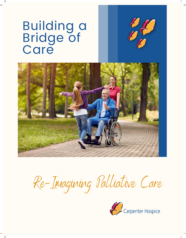# Building a Bridge of Care





Re-Imagining Palliative Care

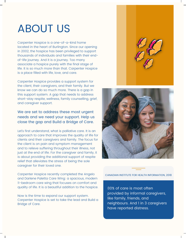## ABOUT US

Carpenter Hospice is a one-of-a-kind home located in the heart of Burlington. Since our opening in 2002, the hospice has been privileged to support thousands of individuals and families with their endof-life journey. And it is a journey. Too many associate a hospice purely with the final stage of life. It is so much more than that. Carpenter Hospice is a place filled with life, love, and care.

Carpenter Hospice provides a support system for the client, their caregivers, and their family. But we know we can do so much more. There is a gap in this support system. A gap that needs to address short-stay respite, wellness, family counselling, grief, and caregiver support.

#### We are set to address these most urgent needs and we need your support. Help us close the gap and Build a Bridge of Care.

Let's first understand, what is palliative care. It is an approach to care that improves the quality of life for clients and their caregivers and family. The focus for the client is on pain and symptom management and to relieve suffering throughout their illness, not just at the end of life. For the caregiver and family, it is about providing the additional support of respite relief that alleviates the stress of being the sole caregiver for their loved one.



Carpenter Hospice recently completed the Angelo and Darlene Paletta Care Wing: a spacious, modern 11-bedroom care wing that focuses on comfort and quality of life. It is a beautiful addition to the hospice.

Now is the time to expand our support system. Carpenter Hospice is set to take the lead and Build a Bridge of Care.

CANADIAN INSTITUTE FOR HEALTH INFORMATION, 2018

80% of care is most often provided by informal caregivers, like family, friends, and neighbours. And 1 in 3 caregivers have reported distress.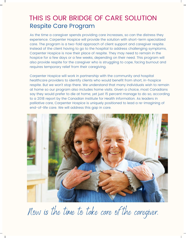## THIS IS OUR BRIDGE OF CARE SOLUTION Respite Care Program

As the time a caregiver spends providing care increases, so can the distress they experience. Carpenter Hospice will provide the solution with short-term specialized care. The program is a two-fold approach of client support and caregiver respite. Instead of the client having to go to the hospital to address challenging symptoms, Carpenter Hospice is now their place of respite. They may need to remain in the hospice for a few days or a few weeks, depending on their need. This program will also provide respite for the caregiver who is struggling to cope, facing burnout and requires temporary relief from their caregiving.

Carpenter Hospice will work in partnership with the community and hospital healthcare providers to identify clients who would benefit from short, in-hospice respite. But we won't stop there. We understand that many individuals wish to remain at home so our program also includes home visits. Given a choice, most Canadians say they would prefer to die at home, yet just 15 percent manage to do so, according to a 2018 report by the Canadian Institute for Health Information. As leaders in palliative care, Carpenter Hospice is uniquely positioned to lead a re-imagining of end-of-life care. We will address this gap in care.



Now is the time to take care of the caregiver.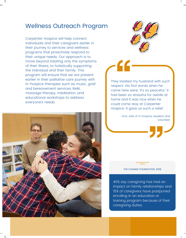#### Wellness Outreach Program

Carpenter Hospice will help connect individuals and their caregivers earlier in their journey to services and wellness programs that proactively respond to their unique needs. Our approach is to move beyond treating only the symptoms of their illness, to holistically supporting the individual and their family. This program will ensure that we are present earlier in their palliative care journey with in-hospice therapies such as music, grief and bereavement services, Reiki, massage therapy, meditation, and educational workshops to address everyone's needs.





They treated my husband with such respect. His first words when he came here were, 'it's so peaceful.' It had been so stressful for awhile at home and it was nice when he could come stay at Carpenter Hospice. It gave us such a relief.

> -Ann, wife of in hospice resident and volunteer

#### THE CHANGE FOUNDATION, 2018

40% say caregiving has had an impact on family relationships and 15% of caregivers have postponed enrolling in an education or training program because of their caregiving duties.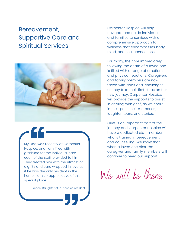## Bereavement, Supportive Care and Spiritual Services



My Dad was recently at Carpenter Hospice, and I am filled with gratitude for the individual care each of the staff provided to him. They treated him with the utmost of dignity and care wrapped in love as if he was the only resident in the home. I am so appreciative of this special place!

-Renee, Daughter of in-hospice resident

Carpenter Hospice will help navigate and guide individuals and families to services with a comprehensive approach to wellness that encompasses body, mind, and soul connections.

For many, the time immediately following the death of a loved one is filled with a range of emotions and physical reactions. Caregivers and family members are now faced with additional challenges as they take their first steps on this new journey. Carpenter Hospice will provide the supports to assist in dealing with grief, as we share in their pain, their memories, laughter, tears, and stories.

Grief is an important part of the journey and Carpenter Hospice will have a dedicated staff member who is trained in bereavement and counselling. We know that when a loved one dies, the caregiver and family members will continue to need our support.

We will be there.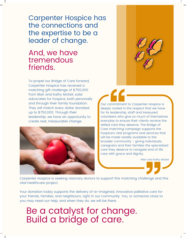Carpenter Hospice has the connections and the expertise to be a leader of change.

### And, we have tremendous friends.

To propel our Bridge of Care forward, Carpenter Hospice has received a matching gift challenge of \$750,000 from Blair and Kathy McKeil, solid advocates for hospice, both personally and through their family foundation. They will match every dollar donated, up to \$750,000. Through their leadership, we have an opportunity to create real, measurable change.



Our commitment to Carpenter Hospice is deeply rooted in the respect that we have for its leadership, staff and treasured volunteers who give so much of themselves everyday to ensure their clients receive the skilled care they deserve. The Bridge of Care matching campaign supports the hospice's vital programs and services that will be made readily available to the broader community - giving individuals, caregivers and their families the specialized care they deserve to navigate end of life care with grace and dignity.

-Blair and Kathy McKeil

Carpenter Hospice is seeking visionary donors to support this matching challenge and this vital healthcare project.

Your donation today supports the delivery of re-imagined, innovative palliative care for your friends, families, and neighbours, right in our community. You, or someone close to you may need our help, and when they do, we will be there.

Be a catalyst for change. Build a bridge of care.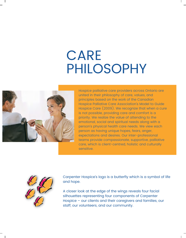# CARE PHILOSOPHY



Hospice palliative care providers across Ontario are united in their philosophy of care, values, and principles based on the work of the Canadian Hospice Palliative Care Association's Model to Guide Hospice Care (2009). We recognize that when a cure is not possible, providing care and comfort is a priority. We realize the value of attending to the emotional, social and spiritual needs along with a person's physical health care needs. We view each person as having unique hopes, fears, anger, expectations and desires. Our inter-professional teams provide compassionate, supportive, palliative care, which is client-centred, holistic and culturally sensitive.



Carpenter Hospice's logo is a butterfly which is a symbol of life and hope.

A closer look at the edge of the wings reveals four facial silhouettes representing four components of Carpenter Hospice – our clients and their caregivers and families, our staff, our volunteers, and our community.